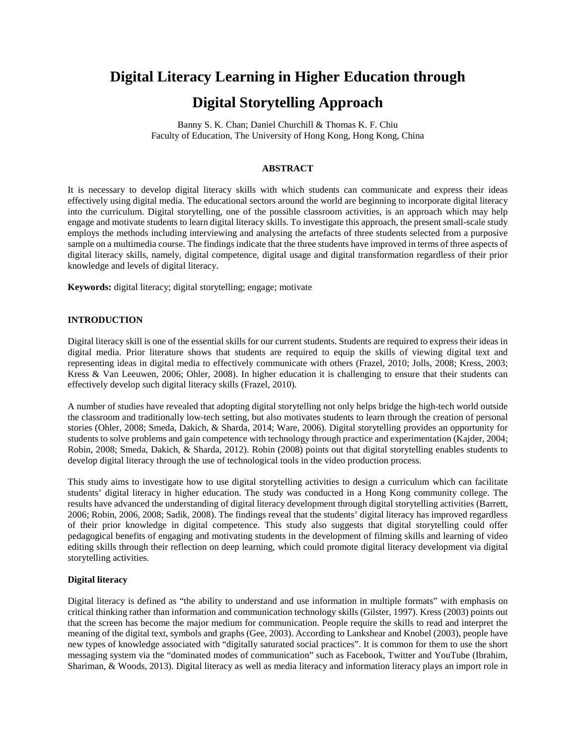# **Digital Literacy Learning in Higher Education through Digital Storytelling Approach**

Banny S. K. Chan; Daniel Churchill & Thomas K. F. Chiu Faculty of Education, The University of Hong Kong, Hong Kong, China

## **ABSTRACT**

It is necessary to develop digital literacy skills with which students can communicate and express their ideas effectively using digital media. The educational sectors around the world are beginning to incorporate digital literacy into the curriculum. Digital storytelling, one of the possible classroom activities, is an approach which may help engage and motivate students to learn digital literacy skills. To investigate this approach, the present small-scale study employs the methods including interviewing and analysing the artefacts of three students selected from a purposive sample on a multimedia course. The findings indicate that the three students have improved in terms of three aspects of digital literacy skills, namely, digital competence, digital usage and digital transformation regardless of their prior knowledge and levels of digital literacy.

**Keywords:** digital literacy; digital storytelling; engage; motivate

## **INTRODUCTION**

Digital literacy skill is one of the essential skills for our current students. Students are required to express their ideas in digital media. Prior literature shows that students are required to equip the skills of viewing digital text and representing ideas in digital media to effectively communicate with others (Frazel, 2010; Jolls, 2008; Kress, 2003; Kress & Van Leeuwen, 2006; Ohler, 2008). In higher education it is challenging to ensure that their students can effectively develop such digital literacy skills (Frazel, 2010).

A number of studies have revealed that adopting digital storytelling not only helps bridge the high-tech world outside the classroom and traditionally low-tech setting, but also motivates students to learn through the creation of personal stories (Ohler, 2008; Smeda, Dakich, & Sharda, 2014; Ware, 2006). Digital storytelling provides an opportunity for students to solve problems and gain competence with technology through practice and experimentation (Kajder, 2004; Robin, 2008; Smeda, Dakich, & Sharda, 2012). Robin (2008) points out that digital storytelling enables students to develop digital literacy through the use of technological tools in the video production process.

This study aims to investigate how to use digital storytelling activities to design a curriculum which can facilitate students' digital literacy in higher education. The study was conducted in a Hong Kong community college. The results have advanced the understanding of digital literacy development through digital storytelling activities (Barrett, 2006; Robin, 2006, 2008; Sadik, 2008). The findings reveal that the students' digital literacy has improved regardless of their prior knowledge in digital competence. This study also suggests that digital storytelling could offer pedagogical benefits of engaging and motivating students in the development of filming skills and learning of video editing skills through their reflection on deep learning, which could promote digital literacy development via digital storytelling activities.

# **Digital literacy**

Digital literacy is defined as "the ability to understand and use information in multiple formats" with emphasis on critical thinking rather than information and communication technology skills (Gilster, 1997). Kress (2003) points out that the screen has become the major medium for communication. People require the skills to read and interpret the meaning of the digital text, symbols and graphs (Gee, 2003). According to Lankshear and Knobel (2003), people have new types of knowledge associated with "digitally saturated social practices". It is common for them to use the short messaging system via the "dominated modes of communication" such as Facebook, Twitter and YouTube (Ibrahim, Shariman, & Woods, 2013). Digital literacy as well as media literacy and information literacy plays an import role in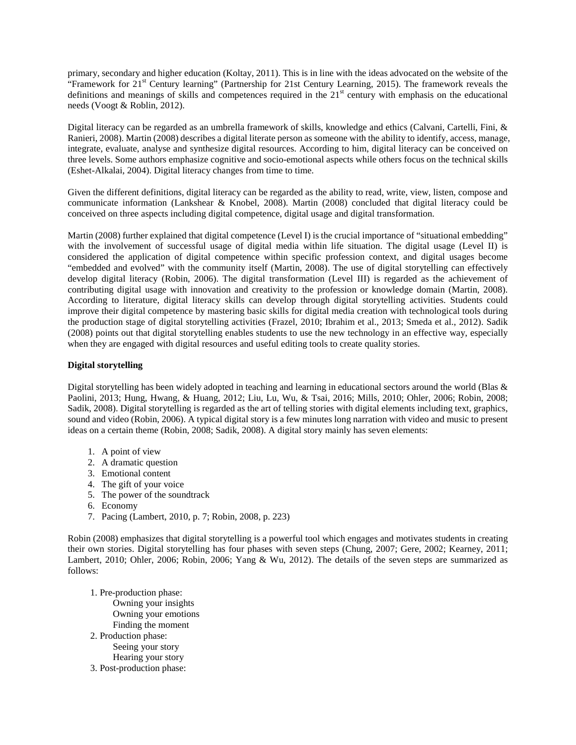primary, secondary and higher education (Koltay, 2011). This is in line with the ideas advocated on the website of the "Framework for  $21<sup>st</sup>$  Century learning" (Partnership for 21st Century Learning, 2015). The framework reveals the definitions and meanings of skills and competences required in the  $21<sup>st</sup>$  century with emphasis on the educational needs (Voogt & Roblin, 2012).

Digital literacy can be regarded as an umbrella framework of skills, knowledge and ethics (Calvani, Cartelli, Fini, & Ranieri, 2008). Martin (2008) describes a digital literate person as someone with the ability to identify, access, manage, integrate, evaluate, analyse and synthesize digital resources. According to him, digital literacy can be conceived on three levels. Some authors emphasize cognitive and socio-emotional aspects while others focus on the technical skills (Eshet-Alkalai, 2004). Digital literacy changes from time to time.

Given the different definitions, digital literacy can be regarded as the ability to read, write, view, listen, compose and communicate information (Lankshear & Knobel, 2008). Martin (2008) concluded that digital literacy could be conceived on three aspects including digital competence, digital usage and digital transformation.

Martin (2008) further explained that digital competence (Level I) is the crucial importance of "situational embedding" with the involvement of successful usage of digital media within life situation. The digital usage (Level II) is considered the application of digital competence within specific profession context, and digital usages become "embedded and evolved" with the community itself (Martin, 2008). The use of digital storytelling can effectively develop digital literacy (Robin, 2006). The digital transformation (Level III) is regarded as the achievement of contributing digital usage with innovation and creativity to the profession or knowledge domain (Martin, 2008). According to literature, digital literacy skills can develop through digital storytelling activities. Students could improve their digital competence by mastering basic skills for digital media creation with technological tools during the production stage of digital storytelling activities (Frazel, 2010; Ibrahim et al., 2013; Smeda et al., 2012). Sadik (2008) points out that digital storytelling enables students to use the new technology in an effective way, especially when they are engaged with digital resources and useful editing tools to create quality stories.

# **Digital storytelling**

Digital storytelling has been widely adopted in teaching and learning in educational sectors around the world (Blas & Paolini, 2013; Hung, Hwang, & Huang, 2012; Liu, Lu, Wu, & Tsai, 2016; Mills, 2010; Ohler, 2006; Robin, 2008; Sadik, 2008). Digital storytelling is regarded as the art of telling stories with digital elements including text, graphics, sound and video (Robin, 2006). A typical digital story is a few minutes long narration with video and music to present ideas on a certain theme (Robin, 2008; Sadik, 2008). A digital story mainly has seven elements:

- 1. A point of view
- 2. A dramatic question
- 3. Emotional content
- 4. The gift of your voice
- 5. The power of the soundtrack
- 6. Economy
- 7. Pacing (Lambert, 2010, p. 7; Robin, 2008, p. 223)

Robin (2008) emphasizes that digital storytelling is a powerful tool which engages and motivates students in creating their own stories. Digital storytelling has four phases with seven steps (Chung, 2007; Gere, 2002; Kearney, 2011; Lambert, 2010; Ohler, 2006; Robin, 2006; Yang & Wu, 2012). The details of the seven steps are summarized as follows:

- 1. Pre-production phase:
- Owning your insights Owning your emotions Finding the moment 2. Production phase: Seeing your story Hearing your story
- 3. Post-production phase: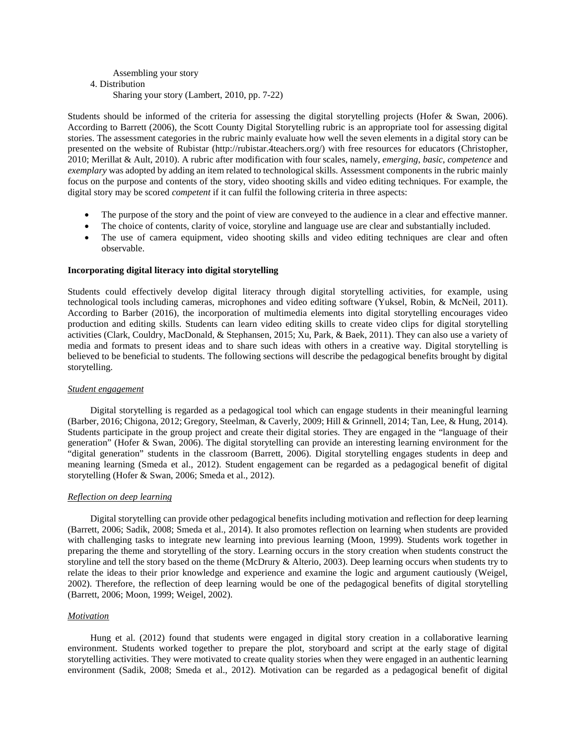# Assembling your story 4. Distribution Sharing your story (Lambert, 2010, pp. 7-22)

Students should be informed of the criteria for assessing the digital storytelling projects (Hofer & Swan, 2006). According to Barrett (2006), the Scott County Digital Storytelling rubric is an appropriate tool for assessing digital stories. The assessment categories in the rubric mainly evaluate how well the seven elements in a digital story can be presented on the website of Rubistar (http://rubistar.4teachers.org/) with free resources for educators (Christopher, 2010; Merillat & Ault, 2010). A rubric after modification with four scales, namely, *emerging*, *basic*, *competence* and *exemplary* was adopted by adding an item related to technological skills. Assessment components in the rubric mainly focus on the purpose and contents of the story, video shooting skills and video editing techniques. For example, the digital story may be scored *competent* if it can fulfil the following criteria in three aspects:

- The purpose of the story and the point of view are conveyed to the audience in a clear and effective manner.
- The choice of contents, clarity of voice, storyline and language use are clear and substantially included.
- The use of camera equipment, video shooting skills and video editing techniques are clear and often observable.

## **Incorporating digital literacy into digital storytelling**

Students could effectively develop digital literacy through digital storytelling activities, for example, using technological tools including cameras, microphones and video editing software (Yuksel, Robin, & McNeil, 2011). According to Barber (2016), the incorporation of multimedia elements into digital storytelling encourages video production and editing skills. Students can learn video editing skills to create video clips for digital storytelling activities (Clark, Couldry, MacDonald, & Stephansen, 2015; Xu, Park, & Baek, 2011). They can also use a variety of media and formats to present ideas and to share such ideas with others in a creative way. Digital storytelling is believed to be beneficial to students. The following sections will describe the pedagogical benefits brought by digital storytelling.

#### *Student engagement*

Digital storytelling is regarded as a pedagogical tool which can engage students in their meaningful learning (Barber, 2016; Chigona, 2012; Gregory, Steelman, & Caverly, 2009; Hill & Grinnell, 2014; Tan, Lee, & Hung, 2014). Students participate in the group project and create their digital stories. They are engaged in the "language of their generation" (Hofer & Swan, 2006). The digital storytelling can provide an interesting learning environment for the "digital generation" students in the classroom (Barrett, 2006). Digital storytelling engages students in deep and meaning learning (Smeda et al., 2012). Student engagement can be regarded as a pedagogical benefit of digital storytelling (Hofer & Swan, 2006; Smeda et al., 2012).

#### *Reflection on deep learning*

Digital storytelling can provide other pedagogical benefits including motivation and reflection for deep learning (Barrett, 2006; Sadik, 2008; Smeda et al., 2014). It also promotes reflection on learning when students are provided with challenging tasks to integrate new learning into previous learning (Moon, 1999). Students work together in preparing the theme and storytelling of the story. Learning occurs in the story creation when students construct the storyline and tell the story based on the theme (McDrury & Alterio, 2003). Deep learning occurs when students try to relate the ideas to their prior knowledge and experience and examine the logic and argument cautiously (Weigel, 2002). Therefore, the reflection of deep learning would be one of the pedagogical benefits of digital storytelling (Barrett, 2006; Moon, 1999; Weigel, 2002).

#### *Motivation*

Hung et al. (2012) found that students were engaged in digital story creation in a collaborative learning environment. Students worked together to prepare the plot, storyboard and script at the early stage of digital storytelling activities. They were motivated to create quality stories when they were engaged in an authentic learning environment (Sadik, 2008; Smeda et al., 2012). Motivation can be regarded as a pedagogical benefit of digital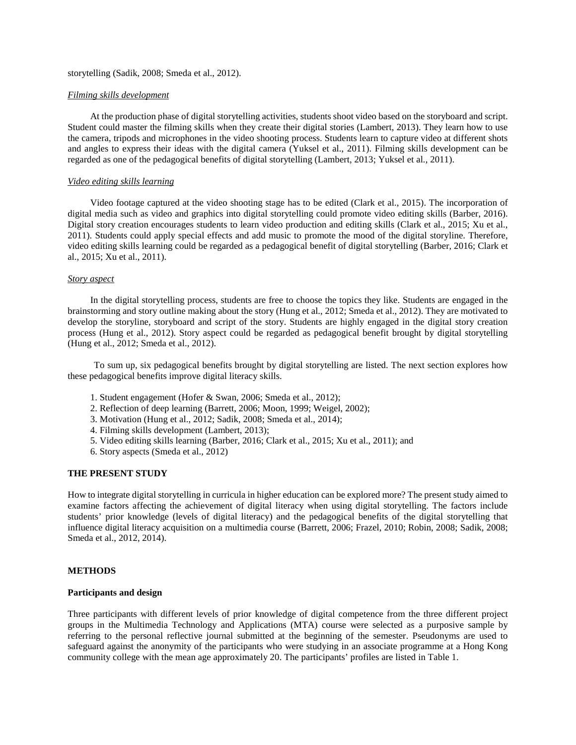## storytelling (Sadik, 2008; Smeda et al., 2012).

#### *Filming skills development*

At the production phase of digital storytelling activities, students shoot video based on the storyboard and script. Student could master the filming skills when they create their digital stories (Lambert, 2013). They learn how to use the camera, tripods and microphones in the video shooting process. Students learn to capture video at different shots and angles to express their ideas with the digital camera (Yuksel et al., 2011). Filming skills development can be regarded as one of the pedagogical benefits of digital storytelling (Lambert, 2013; Yuksel et al., 2011).

#### *Video editing skills learning*

Video footage captured at the video shooting stage has to be edited (Clark et al., 2015). The incorporation of digital media such as video and graphics into digital storytelling could promote video editing skills (Barber, 2016). Digital story creation encourages students to learn video production and editing skills (Clark et al., 2015; Xu et al., 2011). Students could apply special effects and add music to promote the mood of the digital storyline. Therefore, video editing skills learning could be regarded as a pedagogical benefit of digital storytelling (Barber, 2016; Clark et al., 2015; Xu et al., 2011).

#### *Story aspect*

In the digital storytelling process, students are free to choose the topics they like. Students are engaged in the brainstorming and story outline making about the story (Hung et al., 2012; Smeda et al., 2012). They are motivated to develop the storyline, storyboard and script of the story. Students are highly engaged in the digital story creation process (Hung et al., 2012). Story aspect could be regarded as pedagogical benefit brought by digital storytelling (Hung et al., 2012; Smeda et al., 2012).

To sum up, six pedagogical benefits brought by digital storytelling are listed. The next section explores how these pedagogical benefits improve digital literacy skills.

- 1. Student engagement (Hofer & Swan, 2006; Smeda et al., 2012);
- 2. Reflection of deep learning (Barrett, 2006; Moon, 1999; Weigel, 2002);
- 3. Motivation (Hung et al., 2012; Sadik, 2008; Smeda et al., 2014);
- 4. Filming skills development (Lambert, 2013);
- 5. Video editing skills learning (Barber, 2016; Clark et al., 2015; Xu et al., 2011); and
- 6. Story aspects (Smeda et al., 2012)

#### **THE PRESENT STUDY**

How to integrate digital storytelling in curricula in higher education can be explored more? The present study aimed to examine factors affecting the achievement of digital literacy when using digital storytelling. The factors include students' prior knowledge (levels of digital literacy) and the pedagogical benefits of the digital storytelling that influence digital literacy acquisition on a multimedia course (Barrett, 2006; Frazel, 2010; Robin, 2008; Sadik, 2008; Smeda et al., 2012, 2014).

#### **METHODS**

#### **Participants and design**

Three participants with different levels of prior knowledge of digital competence from the three different project groups in the Multimedia Technology and Applications (MTA) course were selected as a purposive sample by referring to the personal reflective journal submitted at the beginning of the semester. Pseudonyms are used to safeguard against the anonymity of the participants who were studying in an associate programme at a Hong Kong community college with the mean age approximately 20. The participants' profiles are listed in Table 1.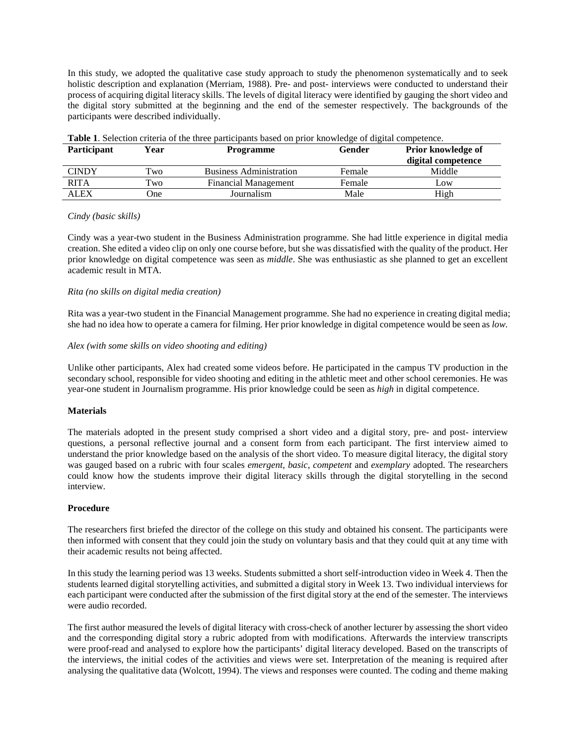In this study, we adopted the qualitative case study approach to study the phenomenon systematically and to seek holistic description and explanation (Merriam, 1988). Pre- and post- interviews were conducted to understand their process of acquiring digital literacy skills. The levels of digital literacy were identified by gauging the short video and the digital story submitted at the beginning and the end of the semester respectively. The backgrounds of the participants were described individually.

| <b>Participant</b> | Year         | Programme                      | Gender | Prior knowledge of<br>digital competence |
|--------------------|--------------|--------------------------------|--------|------------------------------------------|
| <b>CINDY</b>       | Two          | <b>Business Administration</b> | Female | Middle                                   |
| <b>RITA</b>        | $T_{\rm WO}$ | <b>Financial Management</b>    | Female | Low                                      |
| ALEX               | )ne          | Journalism                     | Male   | High                                     |

**Table 1**. Selection criteria of the three participants based on prior knowledge of digital competence.

#### *Cindy (basic skills)*

Cindy was a year-two student in the Business Administration programme. She had little experience in digital media creation. She edited a video clip on only one course before, but she was dissatisfied with the quality of the product. Her prior knowledge on digital competence was seen as *middle*. She was enthusiastic as she planned to get an excellent academic result in MTA.

# *Rita (no skills on digital media creation)*

Rita was a year-two student in the Financial Management programme. She had no experience in creating digital media; she had no idea how to operate a camera for filming. Her prior knowledge in digital competence would be seen as *low*.

## *Alex (with some skills on video shooting and editing)*

Unlike other participants, Alex had created some videos before. He participated in the campus TV production in the secondary school, responsible for video shooting and editing in the athletic meet and other school ceremonies. He was year-one student in Journalism programme. His prior knowledge could be seen as *high* in digital competence.

# **Materials**

The materials adopted in the present study comprised a short video and a digital story, pre- and post- interview questions, a personal reflective journal and a consent form from each participant. The first interview aimed to understand the prior knowledge based on the analysis of the short video. To measure digital literacy, the digital story was gauged based on a rubric with four scales *emergent*, *basic*, *competent* and *exemplary* adopted. The researchers could know how the students improve their digital literacy skills through the digital storytelling in the second interview.

#### **Procedure**

The researchers first briefed the director of the college on this study and obtained his consent. The participants were then informed with consent that they could join the study on voluntary basis and that they could quit at any time with their academic results not being affected.

In this study the learning period was 13 weeks. Students submitted a short self-introduction video in Week 4. Then the students learned digital storytelling activities, and submitted a digital story in Week 13. Two individual interviews for each participant were conducted after the submission of the first digital story at the end of the semester. The interviews were audio recorded.

The first author measured the levels of digital literacy with cross-check of another lecturer by assessing the short video and the corresponding digital story a rubric adopted from with modifications. Afterwards the interview transcripts were proof-read and analysed to explore how the participants' digital literacy developed. Based on the transcripts of the interviews, the initial codes of the activities and views were set. Interpretation of the meaning is required after analysing the qualitative data (Wolcott, 1994). The views and responses were counted. The coding and theme making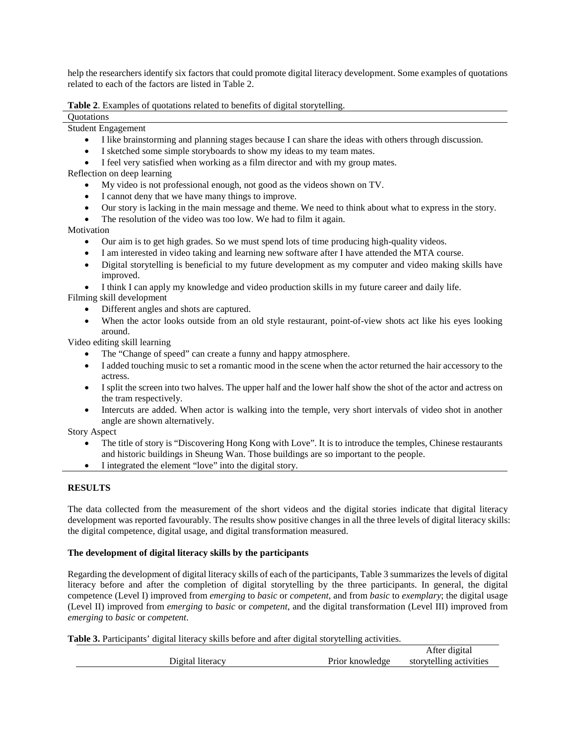help the researchers identify six factors that could promote digital literacy development. Some examples of quotations related to each of the factors are listed in Table 2.

**Table 2**. Examples of quotations related to benefits of digital storytelling.

**Ouotations** 

Student Engagement

- I like brainstorming and planning stages because I can share the ideas with others through discussion.
- I sketched some simple storyboards to show my ideas to my team mates.

• I feel very satisfied when working as a film director and with my group mates.

Reflection on deep learning

- My video is not professional enough, not good as the videos shown on TV.
- I cannot deny that we have many things to improve.
- Our story is lacking in the main message and theme. We need to think about what to express in the story.
- The resolution of the video was too low. We had to film it again.

Motivation

- Our aim is to get high grades. So we must spend lots of time producing high-quality videos.
- I am interested in video taking and learning new software after I have attended the MTA course.
- Digital storytelling is beneficial to my future development as my computer and video making skills have improved.
- I think I can apply my knowledge and video production skills in my future career and daily life.

Filming skill development

- Different angles and shots are captured.
- When the actor looks outside from an old style restaurant, point-of-view shots act like his eyes looking around.

Video editing skill learning

- The "Change of speed" can create a funny and happy atmosphere.
- I added touching music to set a romantic mood in the scene when the actor returned the hair accessory to the actress.
- I split the screen into two halves. The upper half and the lower half show the shot of the actor and actress on the tram respectively.
- Intercuts are added. When actor is walking into the temple, very short intervals of video shot in another angle are shown alternatively.

Story Aspect

- The title of story is "Discovering Hong Kong with Love". It is to introduce the temples, Chinese restaurants and historic buildings in Sheung Wan. Those buildings are so important to the people.
- I integrated the element "love" into the digital story.

## **RESULTS**

The data collected from the measurement of the short videos and the digital stories indicate that digital literacy development was reported favourably. The results show positive changes in all the three levels of digital literacy skills: the digital competence, digital usage, and digital transformation measured.

## **The development of digital literacy skills by the participants**

Regarding the development of digital literacy skills of each of the participants, Table 3 summarizes the levels of digital literacy before and after the completion of digital storytelling by the three participants. In general, the digital competence (Level I) improved from *emerging* to *basic* or *competent*, and from *basic* to *exemplary*; the digital usage (Level II) improved from *emerging* to *basic* or *competent*, and the digital transformation (Level III) improved from *emerging* to *basic* or *competent*.

**Table 3.** Participants' digital literacy skills before and after digital storytelling activities.

|                  |                 | After digital           |
|------------------|-----------------|-------------------------|
| Digital literacy | Prior knowledge | storvtelling activities |
|                  |                 |                         |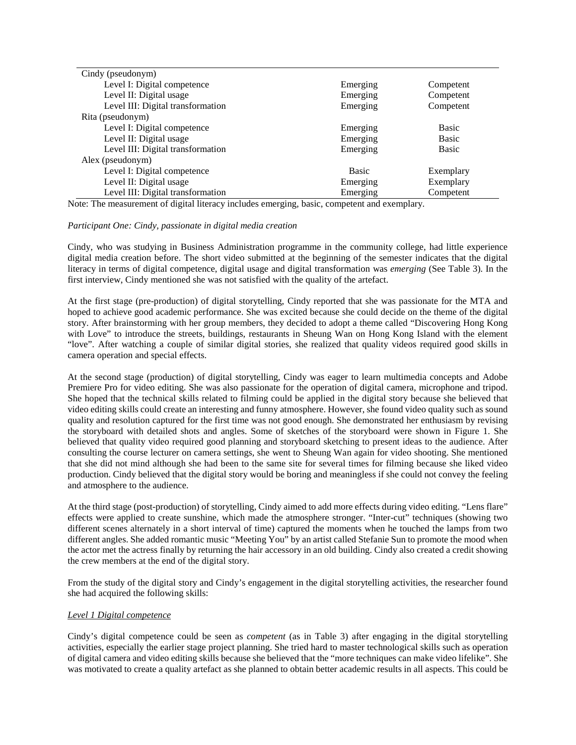| Cindy (pseudonym)                 |              |              |
|-----------------------------------|--------------|--------------|
| Level I: Digital competence       | Emerging     | Competent    |
| Level II: Digital usage           | Emerging     | Competent    |
| Level III: Digital transformation | Emerging     | Competent    |
| Rita (pseudonym)                  |              |              |
| Level I: Digital competence       | Emerging     | <b>Basic</b> |
| Level II: Digital usage           | Emerging     | Basic        |
| Level III: Digital transformation | Emerging     | Basic        |
| Alex (pseudonym)                  |              |              |
| Level I: Digital competence       | <b>Basic</b> | Exemplary    |
| Level II: Digital usage           | Emerging     | Exemplary    |
| Level III: Digital transformation | Emerging     | Competent    |

Note: The measurement of digital literacy includes emerging, basic, competent and exemplary.

#### *Participant One: Cindy, passionate in digital media creation*

Cindy, who was studying in Business Administration programme in the community college, had little experience digital media creation before. The short video submitted at the beginning of the semester indicates that the digital literacy in terms of digital competence, digital usage and digital transformation was *emerging* (See Table 3). In the first interview, Cindy mentioned she was not satisfied with the quality of the artefact.

At the first stage (pre-production) of digital storytelling, Cindy reported that she was passionate for the MTA and hoped to achieve good academic performance. She was excited because she could decide on the theme of the digital story. After brainstorming with her group members, they decided to adopt a theme called "Discovering Hong Kong with Love" to introduce the streets, buildings, restaurants in Sheung Wan on Hong Kong Island with the element "love". After watching a couple of similar digital stories, she realized that quality videos required good skills in camera operation and special effects.

At the second stage (production) of digital storytelling, Cindy was eager to learn multimedia concepts and Adobe Premiere Pro for video editing. She was also passionate for the operation of digital camera, microphone and tripod. She hoped that the technical skills related to filming could be applied in the digital story because she believed that video editing skills could create an interesting and funny atmosphere. However, she found video quality such as sound quality and resolution captured for the first time was not good enough. She demonstrated her enthusiasm by revising the storyboard with detailed shots and angles. Some of sketches of the storyboard were shown in Figure 1. She believed that quality video required good planning and storyboard sketching to present ideas to the audience. After consulting the course lecturer on camera settings, she went to Sheung Wan again for video shooting. She mentioned that she did not mind although she had been to the same site for several times for filming because she liked video production. Cindy believed that the digital story would be boring and meaningless if she could not convey the feeling and atmosphere to the audience.

At the third stage (post-production) of storytelling, Cindy aimed to add more effects during video editing. "Lens flare" effects were applied to create sunshine, which made the atmosphere stronger. "Inter-cut" techniques (showing two different scenes alternately in a short interval of time) captured the moments when he touched the lamps from two different angles. She added romantic music "Meeting You" by an artist called Stefanie Sun to promote the mood when the actor met the actress finally by returning the hair accessory in an old building. Cindy also created a credit showing the crew members at the end of the digital story.

From the study of the digital story and Cindy's engagement in the digital storytelling activities, the researcher found she had acquired the following skills:

#### *Level 1 Digital competence*

Cindy's digital competence could be seen as *competent* (as in Table 3) after engaging in the digital storytelling activities, especially the earlier stage project planning. She tried hard to master technological skills such as operation of digital camera and video editing skills because she believed that the "more techniques can make video lifelike". She was motivated to create a quality artefact as she planned to obtain better academic results in all aspects. This could be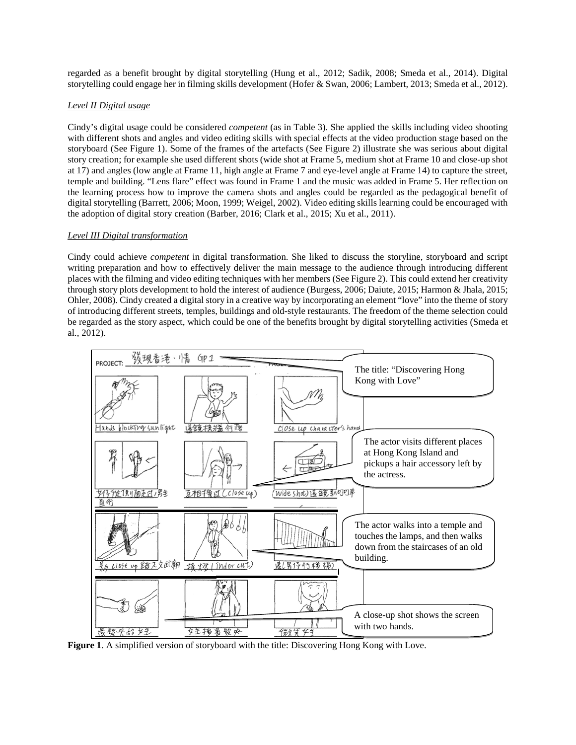regarded as a benefit brought by digital storytelling (Hung et al., 2012; Sadik, 2008; Smeda et al., 2014). Digital storytelling could engage her in filming skills development (Hofer & Swan, 2006; Lambert, 2013; Smeda et al., 2012).

# *Level II Digital usage*

Cindy's digital usage could be considered *competent* (as in Table 3). She applied the skills including video shooting with different shots and angles and video editing skills with special effects at the video production stage based on the storyboard (See Figure 1). Some of the frames of the artefacts (See Figure 2) illustrate she was serious about digital story creation; for example she used different shots (wide shot at Frame 5, medium shot at Frame 10 and close-up shot at 17) and angles (low angle at Frame 11, high angle at Frame 7 and eye-level angle at Frame 14) to capture the street, temple and building. "Lens flare" effect was found in Frame 1 and the music was added in Frame 5. Her reflection on the learning process how to improve the camera shots and angles could be regarded as the pedagogical benefit of digital storytelling (Barrett, 2006; Moon, 1999; Weigel, 2002). Video editing skills learning could be encouraged with the adoption of digital story creation (Barber, 2016; Clark et al., 2015; Xu et al., 2011).

## *Level III Digital transformation*

Cindy could achieve *competent* in digital transformation. She liked to discuss the storyline, storyboard and script writing preparation and how to effectively deliver the main message to the audience through introducing different places with the filming and video editing techniques with her members (See Figure 2). This could extend her creativity through story plots development to hold the interest of audience (Burgess, 2006; Daiute, 2015; Harmon & Jhala, 2015; Ohler, 2008). Cindy created a digital story in a creative way by incorporating an element "love" into the theme of story of introducing different streets, temples, buildings and old-style restaurants. The freedom of the theme selection could be regarded as the story aspect, which could be one of the benefits brought by digital storytelling activities (Smeda et al., 2012).



**Figure 1**. A simplified version of storyboard with the title: Discovering Hong Kong with Love.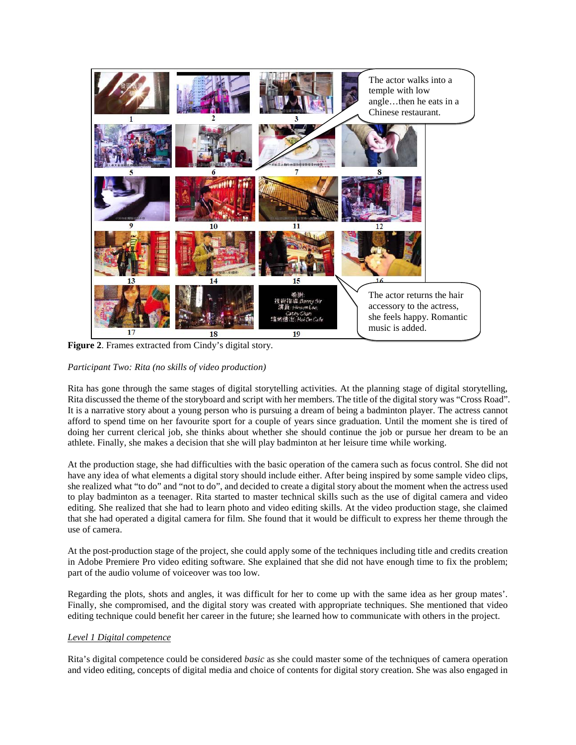

**Figure 2**. Frames extracted from Cindy's digital story.

# *Participant Two: Rita (no skills of video production)*

Rita has gone through the same stages of digital storytelling activities. At the planning stage of digital storytelling, Rita discussed the theme of the storyboard and script with her members. The title of the digital story was "Cross Road". It is a narrative story about a young person who is pursuing a dream of being a badminton player. The actress cannot afford to spend time on her favourite sport for a couple of years since graduation. Until the moment she is tired of doing her current clerical job, she thinks about whether she should continue the job or pursue her dream to be an athlete. Finally, she makes a decision that she will play badminton at her leisure time while working.

At the production stage, she had difficulties with the basic operation of the camera such as focus control. She did not have any idea of what elements a digital story should include either. After being inspired by some sample video clips, she realized what "to do" and "not to do", and decided to create a digital story about the moment when the actress used to play badminton as a teenager. Rita started to master technical skills such as the use of digital camera and video editing. She realized that she had to learn photo and video editing skills. At the video production stage, she claimed that she had operated a digital camera for film. She found that it would be difficult to express her theme through the use of camera.

At the post-production stage of the project, she could apply some of the techniques including title and credits creation in Adobe Premiere Pro video editing software. She explained that she did not have enough time to fix the problem; part of the audio volume of voiceover was too low.

Regarding the plots, shots and angles, it was difficult for her to come up with the same idea as her group mates'. Finally, she compromised, and the digital story was created with appropriate techniques. She mentioned that video editing technique could benefit her career in the future; she learned how to communicate with others in the project.

# *Level 1 Digital competence*

Rita's digital competence could be considered *basic* as she could master some of the techniques of camera operation and video editing, concepts of digital media and choice of contents for digital story creation. She was also engaged in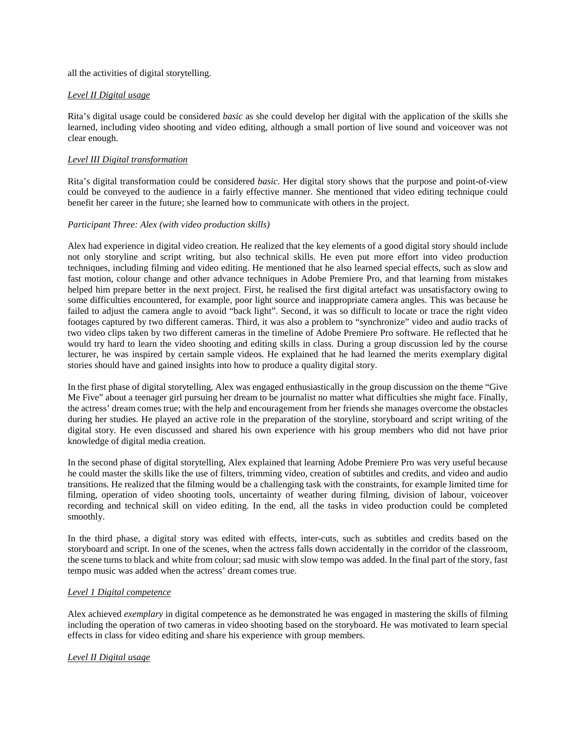all the activities of digital storytelling.

# *Level II Digital usage*

Rita's digital usage could be considered *basic* as she could develop her digital with the application of the skills she learned, including video shooting and video editing, although a small portion of live sound and voiceover was not clear enough.

# *Level III Digital transformation*

Rita's digital transformation could be considered *basic*. Her digital story shows that the purpose and point-of-view could be conveyed to the audience in a fairly effective manner. She mentioned that video editing technique could benefit her career in the future; she learned how to communicate with others in the project.

## *Participant Three: Alex (with video production skills)*

Alex had experience in digital video creation. He realized that the key elements of a good digital story should include not only storyline and script writing, but also technical skills. He even put more effort into video production techniques, including filming and video editing. He mentioned that he also learned special effects, such as slow and fast motion, colour change and other advance techniques in Adobe Premiere Pro, and that learning from mistakes helped him prepare better in the next project. First, he realised the first digital artefact was unsatisfactory owing to some difficulties encountered, for example, poor light source and inappropriate camera angles. This was because he failed to adjust the camera angle to avoid "back light". Second, it was so difficult to locate or trace the right video footages captured by two different cameras. Third, it was also a problem to "synchronize" video and audio tracks of two video clips taken by two different cameras in the timeline of Adobe Premiere Pro software. He reflected that he would try hard to learn the video shooting and editing skills in class. During a group discussion led by the course lecturer, he was inspired by certain sample videos. He explained that he had learned the merits exemplary digital stories should have and gained insights into how to produce a quality digital story.

In the first phase of digital storytelling, Alex was engaged enthusiastically in the group discussion on the theme "Give Me Five" about a teenager girl pursuing her dream to be journalist no matter what difficulties she might face. Finally, the actress' dream comes true; with the help and encouragement from her friends she manages overcome the obstacles during her studies. He played an active role in the preparation of the storyline, storyboard and script writing of the digital story. He even discussed and shared his own experience with his group members who did not have prior knowledge of digital media creation.

In the second phase of digital storytelling, Alex explained that learning Adobe Premiere Pro was very useful because he could master the skills like the use of filters, trimming video, creation of subtitles and credits, and video and audio transitions. He realized that the filming would be a challenging task with the constraints, for example limited time for filming, operation of video shooting tools, uncertainty of weather during filming, division of labour, voiceover recording and technical skill on video editing. In the end, all the tasks in video production could be completed smoothly.

In the third phase, a digital story was edited with effects, inter-cuts, such as subtitles and credits based on the storyboard and script. In one of the scenes, when the actress falls down accidentally in the corridor of the classroom, the scene turns to black and white from colour; sad music with slow tempo was added. In the final part of the story, fast tempo music was added when the actress' dream comes true.

# *Level 1 Digital competence*

Alex achieved *exemplary* in digital competence as he demonstrated he was engaged in mastering the skills of filming including the operation of two cameras in video shooting based on the storyboard. He was motivated to learn special effects in class for video editing and share his experience with group members.

# *Level II Digital usage*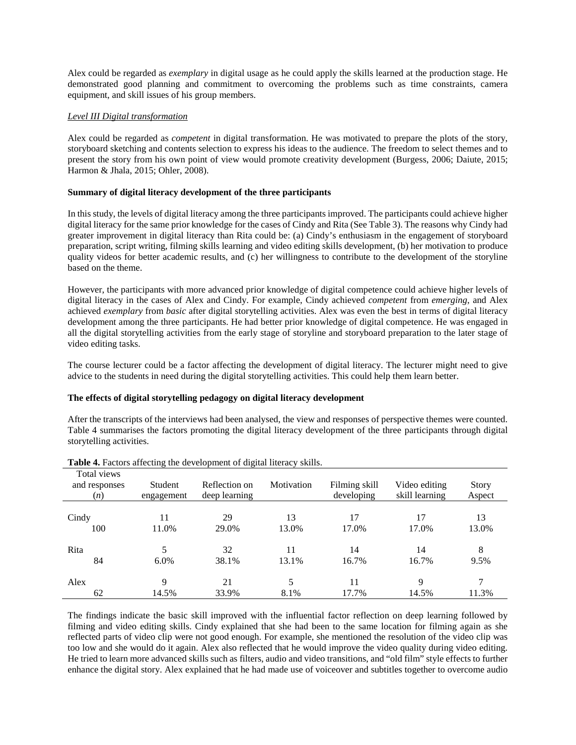Alex could be regarded as *exemplary* in digital usage as he could apply the skills learned at the production stage. He demonstrated good planning and commitment to overcoming the problems such as time constraints, camera equipment, and skill issues of his group members.

## *Level III Digital transformation*

Alex could be regarded as *competent* in digital transformation. He was motivated to prepare the plots of the story, storyboard sketching and contents selection to express his ideas to the audience. The freedom to select themes and to present the story from his own point of view would promote creativity development (Burgess, 2006; Daiute, 2015; Harmon & Jhala, 2015; Ohler, 2008).

## **Summary of digital literacy development of the three participants**

In this study, the levels of digital literacy among the three participants improved. The participants could achieve higher digital literacy for the same prior knowledge for the cases of Cindy and Rita (See Table 3). The reasons why Cindy had greater improvement in digital literacy than Rita could be: (a) Cindy's enthusiasm in the engagement of storyboard preparation, script writing, filming skills learning and video editing skills development, (b) her motivation to produce quality videos for better academic results, and (c) her willingness to contribute to the development of the storyline based on the theme.

However, the participants with more advanced prior knowledge of digital competence could achieve higher levels of digital literacy in the cases of Alex and Cindy. For example, Cindy achieved *competent* from *emerging*, and Alex achieved *exemplary* from *basic* after digital storytelling activities. Alex was even the best in terms of digital literacy development among the three participants. He had better prior knowledge of digital competence. He was engaged in all the digital storytelling activities from the early stage of storyline and storyboard preparation to the later stage of video editing tasks.

The course lecturer could be a factor affecting the development of digital literacy. The lecturer might need to give advice to the students in need during the digital storytelling activities. This could help them learn better.

## **The effects of digital storytelling pedagogy on digital literacy development**

After the transcripts of the interviews had been analysed, the view and responses of perspective themes were counted. Table 4 summarises the factors promoting the digital literacy development of the three participants through digital storytelling activities.

| Total views<br>and responses<br>(n) | Student<br>engagement | Reflection on<br>deep learning | Motivation | Filming skill<br>developing | Video editing<br>skill learning | Story<br>Aspect |
|-------------------------------------|-----------------------|--------------------------------|------------|-----------------------------|---------------------------------|-----------------|
| Cindy                               | 11                    | 29                             | 13         | 17                          | 17                              | 13              |
| 100                                 | 11.0%                 | 29.0%                          | 13.0%      | 17.0%                       | 17.0%                           | 13.0%           |
| Rita                                | 5                     | 32                             | 11         | 14                          | 14                              | 8               |
| 84                                  | $6.0\%$               | 38.1%                          | 13.1%      | 16.7%                       | 16.7%                           | 9.5%            |
| Alex                                | 9                     | 21                             | 5          | 11                          | 9                               | 7               |
| 62                                  | 14.5%                 | 33.9%                          | 8.1%       | 17.7%                       | 14.5%                           | 11.3%           |

**Table 4.** Factors affecting the development of digital literacy skills.

The findings indicate the basic skill improved with the influential factor reflection on deep learning followed by filming and video editing skills. Cindy explained that she had been to the same location for filming again as she reflected parts of video clip were not good enough. For example, she mentioned the resolution of the video clip was too low and she would do it again. Alex also reflected that he would improve the video quality during video editing. He tried to learn more advanced skills such as filters, audio and video transitions, and "old film" style effects to further enhance the digital story. Alex explained that he had made use of voiceover and subtitles together to overcome audio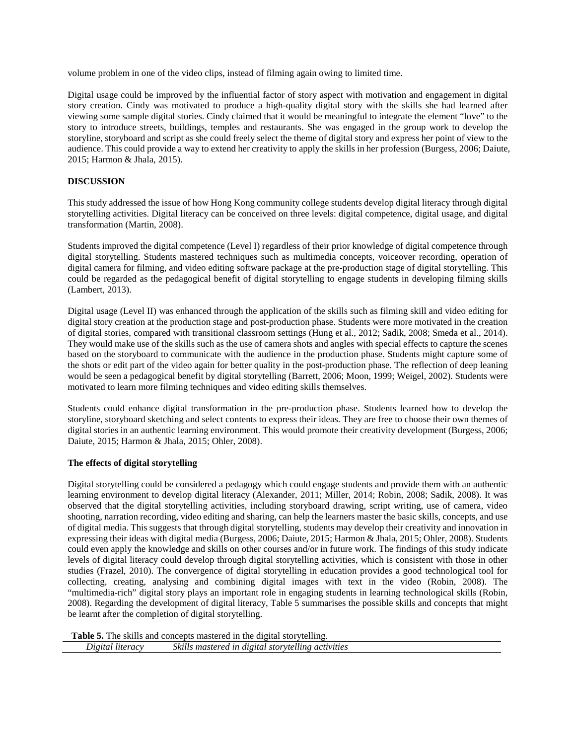volume problem in one of the video clips, instead of filming again owing to limited time.

Digital usage could be improved by the influential factor of story aspect with motivation and engagement in digital story creation. Cindy was motivated to produce a high-quality digital story with the skills she had learned after viewing some sample digital stories. Cindy claimed that it would be meaningful to integrate the element "love" to the story to introduce streets, buildings, temples and restaurants. She was engaged in the group work to develop the storyline, storyboard and script as she could freely select the theme of digital story and express her point of view to the audience. This could provide a way to extend her creativity to apply the skills in her profession (Burgess, 2006; Daiute, 2015; Harmon & Jhala, 2015).

# **DISCUSSION**

This study addressed the issue of how Hong Kong community college students develop digital literacy through digital storytelling activities. Digital literacy can be conceived on three levels: digital competence, digital usage, and digital transformation (Martin, 2008).

Students improved the digital competence (Level I) regardless of their prior knowledge of digital competence through digital storytelling. Students mastered techniques such as multimedia concepts, voiceover recording, operation of digital camera for filming, and video editing software package at the pre-production stage of digital storytelling. This could be regarded as the pedagogical benefit of digital storytelling to engage students in developing filming skills (Lambert, 2013).

Digital usage (Level II) was enhanced through the application of the skills such as filming skill and video editing for digital story creation at the production stage and post-production phase. Students were more motivated in the creation of digital stories, compared with transitional classroom settings (Hung et al., 2012; Sadik, 2008; Smeda et al., 2014). They would make use of the skills such as the use of camera shots and angles with special effects to capture the scenes based on the storyboard to communicate with the audience in the production phase. Students might capture some of the shots or edit part of the video again for better quality in the post-production phase. The reflection of deep leaning would be seen a pedagogical benefit by digital storytelling (Barrett, 2006; Moon, 1999; Weigel, 2002). Students were motivated to learn more filming techniques and video editing skills themselves.

Students could enhance digital transformation in the pre-production phase. Students learned how to develop the storyline, storyboard sketching and select contents to express their ideas. They are free to choose their own themes of digital stories in an authentic learning environment. This would promote their creativity development (Burgess, 2006; Daiute, 2015; Harmon & Jhala, 2015; Ohler, 2008).

# **The effects of digital storytelling**

Digital storytelling could be considered a pedagogy which could engage students and provide them with an authentic learning environment to develop digital literacy (Alexander, 2011; Miller, 2014; Robin, 2008; Sadik, 2008). It was observed that the digital storytelling activities, including storyboard drawing, script writing, use of camera, video shooting, narration recording, video editing and sharing, can help the learners master the basic skills, concepts, and use of digital media. This suggests that through digital storytelling, students may develop their creativity and innovation in expressing their ideas with digital media (Burgess, 2006; Daiute, 2015; Harmon & Jhala, 2015; Ohler, 2008). Students could even apply the knowledge and skills on other courses and/or in future work. The findings of this study indicate levels of digital literacy could develop through digital storytelling activities, which is consistent with those in other studies (Frazel, 2010). The convergence of digital storytelling in education provides a good technological tool for collecting, creating, analysing and combining digital images with text in the video (Robin, 2008). The "multimedia-rich" digital story plays an important role in engaging students in learning technological skills (Robin, 2008). Regarding the development of digital literacy, Table 5 summarises the possible skills and concepts that might be learnt after the completion of digital storytelling.

**Table 5.** The skills and concepts mastered in the digital storytelling. *Digital literacy Skills mastered in digital storytelling activities*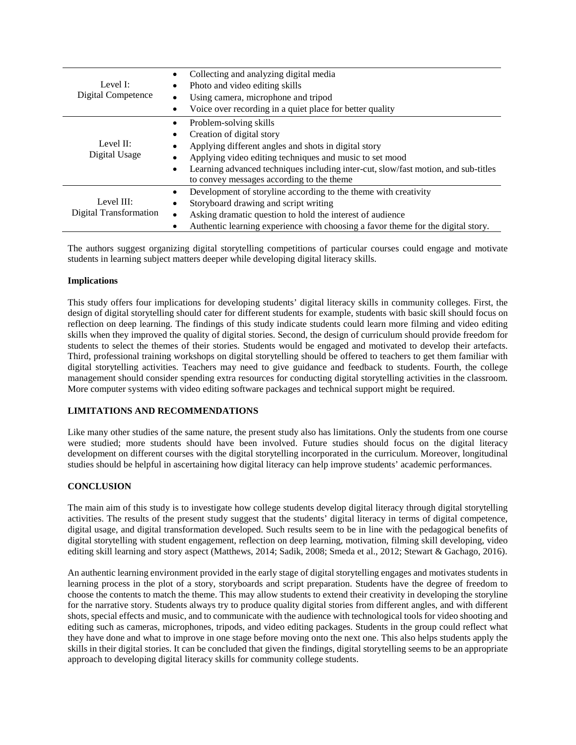| Level I:<br>Digital Competence              | Collecting and analyzing digital media<br>$\bullet$                                                                             |  |  |  |
|---------------------------------------------|---------------------------------------------------------------------------------------------------------------------------------|--|--|--|
|                                             | Photo and video editing skills                                                                                                  |  |  |  |
|                                             | Using camera, microphone and tripod                                                                                             |  |  |  |
|                                             | Voice over recording in a quiet place for better quality                                                                        |  |  |  |
| Level II:<br>Digital Usage                  | Problem-solving skills<br>$\bullet$                                                                                             |  |  |  |
|                                             | Creation of digital story<br>٠                                                                                                  |  |  |  |
|                                             | Applying different angles and shots in digital story                                                                            |  |  |  |
|                                             | Applying video editing techniques and music to set mood                                                                         |  |  |  |
|                                             | Learning advanced techniques including inter-cut, slow/fast motion, and sub-titles<br>to convey messages according to the theme |  |  |  |
| Level III:<br><b>Digital Transformation</b> | Development of storyline according to the theme with creativity<br>$\bullet$                                                    |  |  |  |
|                                             | Storyboard drawing and script writing                                                                                           |  |  |  |
|                                             | Asking dramatic question to hold the interest of audience                                                                       |  |  |  |
|                                             | Authentic learning experience with choosing a favor theme for the digital story.                                                |  |  |  |

The authors suggest organizing digital storytelling competitions of particular courses could engage and motivate students in learning subject matters deeper while developing digital literacy skills.

## **Implications**

This study offers four implications for developing students' digital literacy skills in community colleges. First, the design of digital storytelling should cater for different students for example, students with basic skill should focus on reflection on deep learning. The findings of this study indicate students could learn more filming and video editing skills when they improved the quality of digital stories. Second, the design of curriculum should provide freedom for students to select the themes of their stories. Students would be engaged and motivated to develop their artefacts. Third, professional training workshops on digital storytelling should be offered to teachers to get them familiar with digital storytelling activities. Teachers may need to give guidance and feedback to students. Fourth, the college management should consider spending extra resources for conducting digital storytelling activities in the classroom. More computer systems with video editing software packages and technical support might be required.

# **LIMITATIONS AND RECOMMENDATIONS**

Like many other studies of the same nature, the present study also has limitations. Only the students from one course were studied; more students should have been involved. Future studies should focus on the digital literacy development on different courses with the digital storytelling incorporated in the curriculum. Moreover, longitudinal studies should be helpful in ascertaining how digital literacy can help improve students' academic performances.

# **CONCLUSION**

The main aim of this study is to investigate how college students develop digital literacy through digital storytelling activities. The results of the present study suggest that the students' digital literacy in terms of digital competence, digital usage, and digital transformation developed. Such results seem to be in line with the pedagogical benefits of digital storytelling with student engagement, reflection on deep learning, motivation, filming skill developing, video editing skill learning and story aspect (Matthews, 2014; Sadik, 2008; Smeda et al., 2012; Stewart & Gachago, 2016).

An authentic learning environment provided in the early stage of digital storytelling engages and motivates students in learning process in the plot of a story, storyboards and script preparation. Students have the degree of freedom to choose the contents to match the theme. This may allow students to extend their creativity in developing the storyline for the narrative story. Students always try to produce quality digital stories from different angles, and with different shots, special effects and music, and to communicate with the audience with technological tools for video shooting and editing such as cameras, microphones, tripods, and video editing packages. Students in the group could reflect what they have done and what to improve in one stage before moving onto the next one. This also helps students apply the skills in their digital stories. It can be concluded that given the findings, digital storytelling seems to be an appropriate approach to developing digital literacy skills for community college students.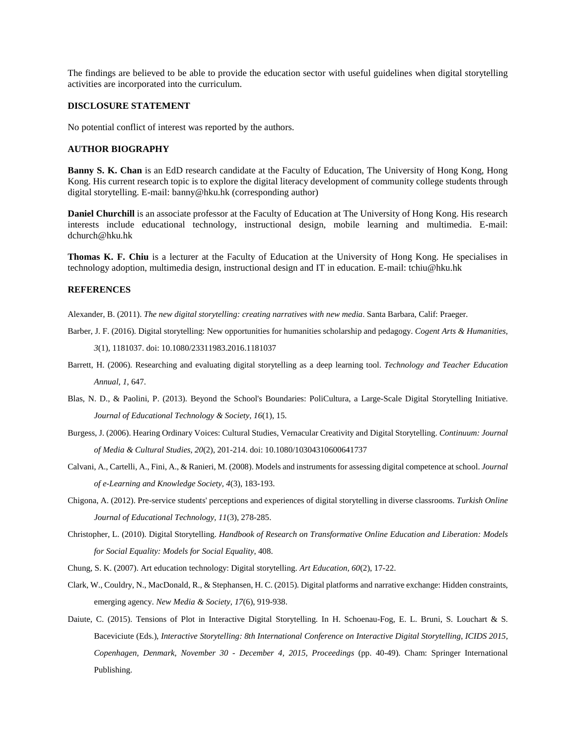The findings are believed to be able to provide the education sector with useful guidelines when digital storytelling activities are incorporated into the curriculum.

#### **DISCLOSURE STATEMENT**

No potential conflict of interest was reported by the authors.

#### **AUTHOR BIOGRAPHY**

**Banny S. K. Chan** is an EdD research candidate at the Faculty of Education, The University of Hong Kong, Hong Kong. His current research topic is to explore the digital literacy development of community college students through digital storytelling. E-mail: banny@hku.hk (corresponding author)

**Daniel Churchill** is an associate professor at the Faculty of Education at The University of Hong Kong. His research interests include educational technology, instructional design, mobile learning and multimedia. E-mail: dchurch@hku.hk

**Thomas K. F. Chiu** is a lecturer at the Faculty of Education at the University of Hong Kong. He specialises in technology adoption, multimedia design, instructional design and IT in education. E-mail: tchiu@hku.hk

## **REFERENCES**

Alexander, B. (2011). *The new digital storytelling: creating narratives with new media*. Santa Barbara, Calif: Praeger.

Barber, J. F. (2016). Digital storytelling: New opportunities for humanities scholarship and pedagogy. *Cogent Arts & Humanities,* 

*3*(1), 1181037. doi: 10.1080/23311983.2016.1181037

- Barrett, H. (2006). Researching and evaluating digital storytelling as a deep learning tool. *Technology and Teacher Education Annual, 1*, 647.
- Blas, N. D., & Paolini, P. (2013). Beyond the School's Boundaries: PoliCultura, a Large-Scale Digital Storytelling Initiative. *Journal of Educational Technology & Society, 16*(1), 15.
- Burgess, J. (2006). Hearing Ordinary Voices: Cultural Studies, Vernacular Creativity and Digital Storytelling. *Continuum: Journal of Media & Cultural Studies, 20*(2), 201-214. doi: 10.1080/10304310600641737
- Calvani, A., Cartelli, A., Fini, A., & Ranieri, M. (2008). Models and instruments for assessing digital competence at school. *Journal of e-Learning and Knowledge Society, 4*(3), 183-193.
- Chigona, A. (2012). Pre-service students' perceptions and experiences of digital storytelling in diverse classrooms. *Turkish Online Journal of Educational Technology, 11*(3), 278-285.
- Christopher, L. (2010). Digital Storytelling. *Handbook of Research on Transformative Online Education and Liberation: Models for Social Equality: Models for Social Equality*, 408.
- Chung, S. K. (2007). Art education technology: Digital storytelling. *Art Education, 60*(2), 17-22.
- Clark, W., Couldry, N., MacDonald, R., & Stephansen, H. C. (2015). Digital platforms and narrative exchange: Hidden constraints, emerging agency. *New Media & Society, 17*(6), 919-938.
- Daiute, C. (2015). Tensions of Plot in Interactive Digital Storytelling. In H. Schoenau-Fog, E. L. Bruni, S. Louchart & S. Baceviciute (Eds.), *Interactive Storytelling: 8th International Conference on Interactive Digital Storytelling, ICIDS 2015, Copenhagen, Denmark, November 30 - December 4, 2015, Proceedings* (pp. 40-49). Cham: Springer International Publishing.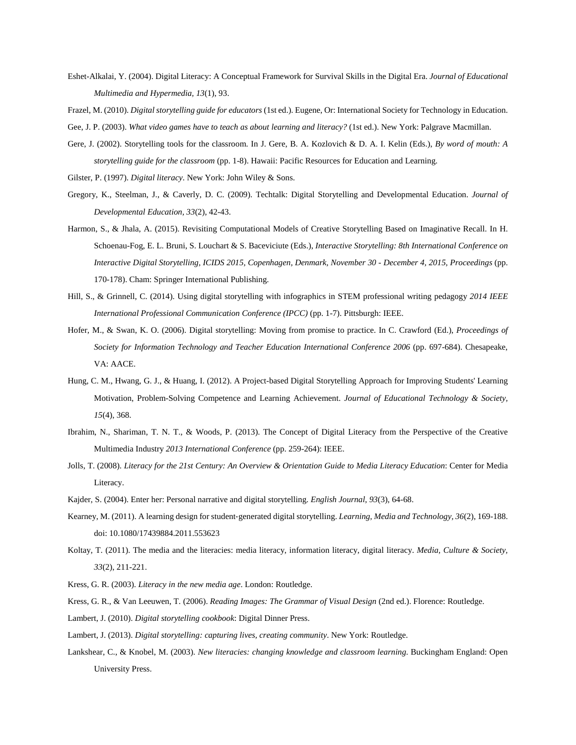- Eshet-Alkalai, Y. (2004). Digital Literacy: A Conceptual Framework for Survival Skills in the Digital Era. *Journal of Educational Multimedia and Hypermedia, 13*(1), 93.
- Frazel, M. (2010). *Digital storytelling guide for educators* (1st ed.). Eugene, Or: International Society for Technology in Education.
- Gee, J. P. (2003). *What video games have to teach as about learning and literacy?* (1st ed.). New York: Palgrave Macmillan.
- Gere, J. (2002). Storytelling tools for the classroom. In J. Gere, B. A. Kozlovich & D. A. I. Kelin (Eds.), *By word of mouth: A storytelling guide for the classroom* (pp. 1-8). Hawaii: Pacific Resources for Education and Learning.
- Gilster, P. (1997). *Digital literacy*. New York: John Wiley & Sons.
- Gregory, K., Steelman, J., & Caverly, D. C. (2009). Techtalk: Digital Storytelling and Developmental Education. *Journal of Developmental Education, 33*(2), 42-43.
- Harmon, S., & Jhala, A. (2015). Revisiting Computational Models of Creative Storytelling Based on Imaginative Recall. In H. Schoenau-Fog, E. L. Bruni, S. Louchart & S. Baceviciute (Eds.), *Interactive Storytelling: 8th International Conference on Interactive Digital Storytelling, ICIDS 2015, Copenhagen, Denmark, November 30 - December 4, 2015, Proceedings* (pp. 170-178). Cham: Springer International Publishing.
- Hill, S., & Grinnell, C. (2014). Using digital storytelling with infographics in STEM professional writing pedagogy *2014 IEEE International Professional Communication Conference (IPCC)* (pp. 1-7). Pittsburgh: IEEE.
- Hofer, M., & Swan, K. O. (2006). Digital storytelling: Moving from promise to practice. In C. Crawford (Ed.), *Proceedings of Society for Information Technology and Teacher Education International Conference 2006* (pp. 697-684). Chesapeake, VA: AACE.
- Hung, C. M., Hwang, G. J., & Huang, I. (2012). A Project-based Digital Storytelling Approach for Improving Students' Learning Motivation, Problem-Solving Competence and Learning Achievement. *Journal of Educational Technology & Society, 15*(4), 368.
- Ibrahim, N., Shariman, T. N. T., & Woods, P. (2013). The Concept of Digital Literacy from the Perspective of the Creative Multimedia Industry *2013 International Conference* (pp. 259-264): IEEE.
- Jolls, T. (2008). *Literacy for the 21st Century: An Overview & Orientation Guide to Media Literacy Education*: Center for Media Literacy.
- Kajder, S. (2004). Enter her: Personal narrative and digital storytelling. *English Journal, 93*(3), 64-68.
- Kearney, M. (2011). A learning design for student‐generated digital storytelling. *Learning, Media and Technology, 36*(2), 169-188. doi: 10.1080/17439884.2011.553623
- Koltay, T. (2011). The media and the literacies: media literacy, information literacy, digital literacy. *Media, Culture & Society, 33*(2), 211-221.
- Kress, G. R. (2003). *Literacy in the new media age*. London: Routledge.
- Kress, G. R., & Van Leeuwen, T. (2006). *Reading Images: The Grammar of Visual Design* (2nd ed.). Florence: Routledge.
- Lambert, J. (2010). *Digital storytelling cookbook*: Digital Dinner Press.
- Lambert, J. (2013). *Digital storytelling: capturing lives, creating community*. New York: Routledge.
- Lankshear, C., & Knobel, M. (2003). *New literacies: changing knowledge and classroom learning*. Buckingham England: Open University Press.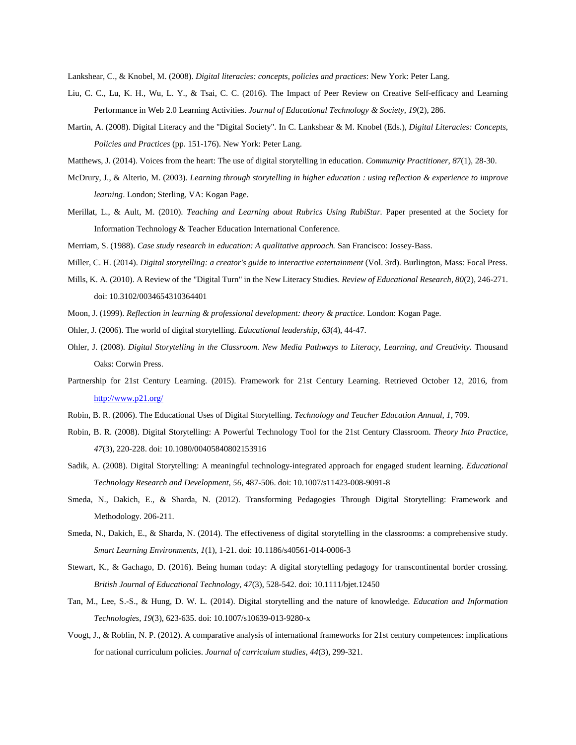Lankshear, C., & Knobel, M. (2008). *Digital literacies: concepts, policies and practices*: New York: Peter Lang.

- Liu, C. C., Lu, K. H., Wu, L. Y., & Tsai, C. C. (2016). The Impact of Peer Review on Creative Self-efficacy and Learning Performance in Web 2.0 Learning Activities. *Journal of Educational Technology & Society, 19*(2), 286.
- Martin, A. (2008). Digital Literacy and the "Digital Society". In C. Lankshear & M. Knobel (Eds.), *Digital Literacies: Concepts, Policies and Practices* (pp. 151-176). New York: Peter Lang.
- Matthews, J. (2014). Voices from the heart: The use of digital storytelling in education. *Community Practitioner, 87*(1), 28-30.
- McDrury, J., & Alterio, M. (2003). *Learning through storytelling in higher education : using reflection & experience to improve learning*. London; Sterling, VA: Kogan Page.
- Merillat, L., & Ault, M. (2010). *Teaching and Learning about Rubrics Using RubiStar.* Paper presented at the Society for Information Technology & Teacher Education International Conference.
- Merriam, S. (1988). *Case study research in education: A qualitative approach.* San Francisco: Jossey-Bass.
- Miller, C. H. (2014). *Digital storytelling: a creator's guide to interactive entertainment* (Vol. 3rd). Burlington, Mass: Focal Press.
- Mills, K. A. (2010). A Review of the "Digital Turn" in the New Literacy Studies. *Review of Educational Research, 80*(2), 246-271. doi: 10.3102/0034654310364401
- Moon, J. (1999). *Reflection in learning & professional development: theory & practice*. London: Kogan Page.
- Ohler, J. (2006). The world of digital storytelling. *Educational leadership, 63*(4), 44-47.
- Ohler, J. (2008). *Digital Storytelling in the Classroom. New Media Pathways to Literacy, Learning, and Creativity.* Thousand Oaks: Corwin Press.
- Partnership for 21st Century Learning. (2015). Framework for 21st Century Learning. Retrieved October 12, 2016, from <http://www.p21.org/>
- Robin, B. R. (2006). The Educational Uses of Digital Storytelling. *Technology and Teacher Education Annual, 1*, 709.
- Robin, B. R. (2008). Digital Storytelling: A Powerful Technology Tool for the 21st Century Classroom. *Theory Into Practice, 47*(3), 220-228. doi: 10.1080/00405840802153916
- Sadik, A. (2008). Digital Storytelling: A meaningful technology-integrated approach for engaged student learning. *Educational Technology Research and Development, 56*, 487-506. doi: 10.1007/s11423-008-9091-8
- Smeda, N., Dakich, E., & Sharda, N. (2012). Transforming Pedagogies Through Digital Storytelling: Framework and Methodology. 206-211.
- Smeda, N., Dakich, E., & Sharda, N. (2014). The effectiveness of digital storytelling in the classrooms: a comprehensive study. *Smart Learning Environments, 1*(1), 1-21. doi: 10.1186/s40561-014-0006-3
- Stewart, K., & Gachago, D. (2016). Being human today: A digital storytelling pedagogy for transcontinental border crossing. *British Journal of Educational Technology, 47*(3), 528-542. doi: 10.1111/bjet.12450
- Tan, M., Lee, S.-S., & Hung, D. W. L. (2014). Digital storytelling and the nature of knowledge. *Education and Information Technologies, 19*(3), 623-635. doi: 10.1007/s10639-013-9280-x
- Voogt, J., & Roblin, N. P. (2012). A comparative analysis of international frameworks for 21st century competences: implications for national curriculum policies. *Journal of curriculum studies, 44*(3), 299-321.